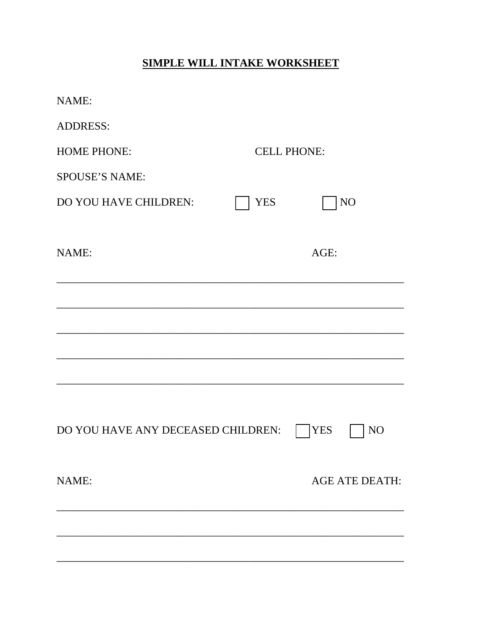# **SIMPLE WILL INTAKE WORKSHEET**

| NAME:                              |                    |                       |
|------------------------------------|--------------------|-----------------------|
| <b>ADDRESS:</b>                    |                    |                       |
| <b>HOME PHONE:</b>                 | <b>CELL PHONE:</b> |                       |
| <b>SPOUSE'S NAME:</b>              |                    |                       |
| DO YOU HAVE CHILDREN:              | <b>YES</b>         | NO                    |
|                                    |                    |                       |
| NAME:                              |                    | AGE:                  |
|                                    |                    |                       |
|                                    |                    |                       |
|                                    |                    |                       |
|                                    |                    |                       |
|                                    |                    |                       |
|                                    |                    |                       |
| DO YOU HAVE ANY DECEASED CHILDREN: |                    | <b>YES</b><br>NO      |
|                                    |                    |                       |
| NAME:                              |                    | <b>AGE ATE DEATH:</b> |
|                                    |                    |                       |
|                                    |                    |                       |
|                                    |                    |                       |
|                                    |                    |                       |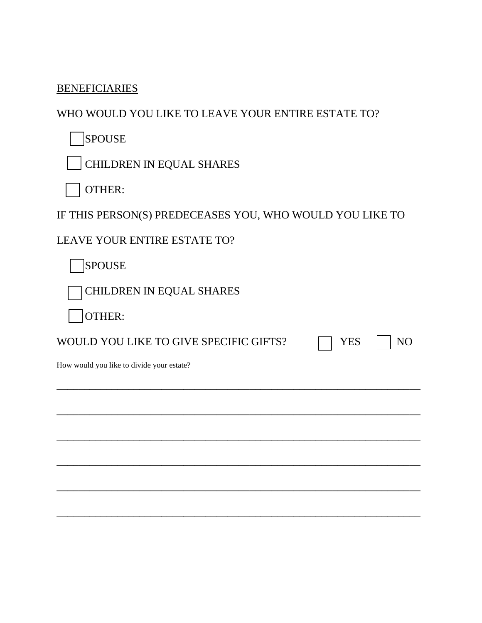### **BENEFICIARIES**

## WHO WOULD YOU LIKE TO LEAVE YOUR ENTIRE ESTATE TO?

SPOUSE

CHILDREN IN EQUAL SHARES

OTHER:

IF THIS PERSON(S) PREDECEASES YOU, WHO WOULD YOU LIKE TO

\_\_\_\_\_\_\_\_\_\_\_\_\_\_\_\_\_\_\_\_\_\_\_\_\_\_\_\_\_\_\_\_\_\_\_\_\_\_\_\_\_\_\_\_\_\_\_\_\_\_\_\_\_\_\_\_\_\_\_\_\_\_\_\_\_\_

\_\_\_\_\_\_\_\_\_\_\_\_\_\_\_\_\_\_\_\_\_\_\_\_\_\_\_\_\_\_\_\_\_\_\_\_\_\_\_\_\_\_\_\_\_\_\_\_\_\_\_\_\_\_\_\_\_\_\_\_\_\_\_\_\_\_

\_\_\_\_\_\_\_\_\_\_\_\_\_\_\_\_\_\_\_\_\_\_\_\_\_\_\_\_\_\_\_\_\_\_\_\_\_\_\_\_\_\_\_\_\_\_\_\_\_\_\_\_\_\_\_\_\_\_\_\_\_\_\_\_\_\_

\_\_\_\_\_\_\_\_\_\_\_\_\_\_\_\_\_\_\_\_\_\_\_\_\_\_\_\_\_\_\_\_\_\_\_\_\_\_\_\_\_\_\_\_\_\_\_\_\_\_\_\_\_\_\_\_\_\_\_\_\_\_\_\_\_\_

\_\_\_\_\_\_\_\_\_\_\_\_\_\_\_\_\_\_\_\_\_\_\_\_\_\_\_\_\_\_\_\_\_\_\_\_\_\_\_\_\_\_\_\_\_\_\_\_\_\_\_\_\_\_\_\_\_\_\_\_\_\_\_\_\_\_

\_\_\_\_\_\_\_\_\_\_\_\_\_\_\_\_\_\_\_\_\_\_\_\_\_\_\_\_\_\_\_\_\_\_\_\_\_\_\_\_\_\_\_\_\_\_\_\_\_\_\_\_\_\_\_\_\_\_\_\_\_\_\_\_\_\_

LEAVE YOUR ENTIRE ESTATE TO?

SPOUSE

CHILDREN IN EQUAL SHARES

OTHER:

WOULD YOU LIKE TO GIVE SPECIFIC GIFTS?  $\Box$  YES  $\Box$  NO

How would you like to divide your estate?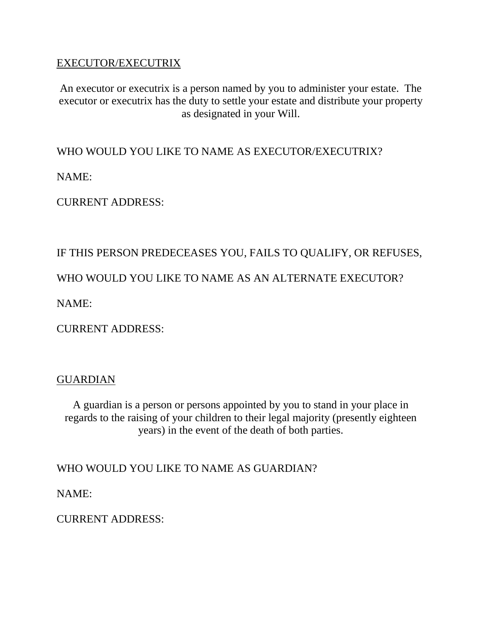#### EXECUTOR/EXECUTRIX

An executor or executrix is a person named by you to administer your estate. The executor or executrix has the duty to settle your estate and distribute your property as designated in your Will.

WHO WOULD YOU LIKE TO NAME AS EXECUTOR/EXECUTRIX?

NAME:

CURRENT ADDRESS:

## IF THIS PERSON PREDECEASES YOU, FAILS TO QUALIFY, OR REFUSES,

WHO WOULD YOU LIKE TO NAME AS AN ALTERNATE EXECUTOR?

NAME:

CURRENT ADDRESS:

#### GUARDIAN

A guardian is a person or persons appointed by you to stand in your place in regards to the raising of your children to their legal majority (presently eighteen years) in the event of the death of both parties.

WHO WOULD YOU LIKE TO NAME AS GUARDIAN?

NAME:

CURRENT ADDRESS: